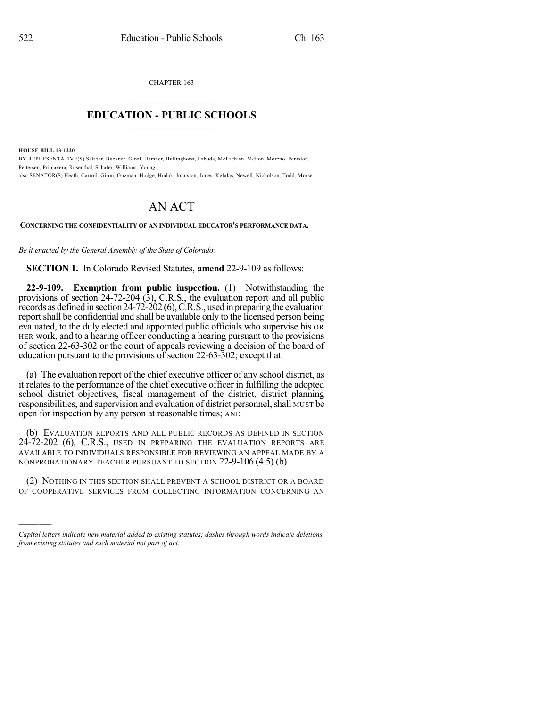CHAPTER 163  $\mathcal{L}_\text{max}$  . The set of the set of the set of the set of the set of the set of the set of the set of the set of the set of the set of the set of the set of the set of the set of the set of the set of the set of the set

## **EDUCATION - PUBLIC SCHOOLS**  $\_$   $\_$   $\_$   $\_$   $\_$   $\_$   $\_$   $\_$   $\_$

**HOUSE BILL 13-1220**

)))))

BY REPRESENTATIVE(S) Salazar, Buckner, Ginal, Hamner, Hullinghorst, Labuda, McLachlan, Melton, Moreno, Peniston, Pettersen, Primavera, Rosenthal, Schafer, Williams, Young; also SENATOR(S) Heath, Carroll, Giron, Guzman, Hodge, Hudak, Johnston, Jones, Kefalas, Newell, Nicholson, Todd, Morse.

## AN ACT

**CONCERNING THE CONFIDENTIALITY OF AN INDIVIDUAL EDUCATOR'S PERFORMANCE DATA.**

*Be it enacted by the General Assembly of the State of Colorado:*

**SECTION 1.** In Colorado Revised Statutes, **amend** 22-9-109 as follows:

**22-9-109. Exemption from public inspection.** (1) Notwithstanding the provisions of section 24-72-204 (3), C.R.S., the evaluation report and all public records as defined in section 24-72-202 (6),C.R.S., used in preparing the evaluation reportshall be confidential and shall be available only to the licensed person being evaluated, to the duly elected and appointed public officials who supervise his OR HER work, and to a hearing officer conducting a hearing pursuant to the provisions of section 22-63-302 or the court of appeals reviewing a decision of the board of education pursuant to the provisions of section 22-63-302; except that:

(a) The evaluation report of the chief executive officer of any school district, as it relates to the performance of the chief executive officer in fulfilling the adopted school district objectives, fiscal management of the district, district planning responsibilities, and supervision and evaluation of district personnel, shall MUST be open for inspection by any person at reasonable times; AND

(b) EVALUATION REPORTS AND ALL PUBLIC RECORDS AS DEFINED IN SECTION 24-72-202 (6), C.R.S., USED IN PREPARING THE EVALUATION REPORTS ARE AVAILABLE TO INDIVIDUALS RESPONSIBLE FOR REVIEWING AN APPEAL MADE BY A NONPROBATIONARY TEACHER PURSUANT TO SECTION 22-9-106 (4.5) (b).

(2) NOTHING IN THIS SECTION SHALL PREVENT A SCHOOL DISTRICT OR A BOARD OF COOPERATIVE SERVICES FROM COLLECTING INFORMATION CONCERNING AN

*Capital letters indicate new material added to existing statutes; dashes through words indicate deletions from existing statutes and such material not part of act.*